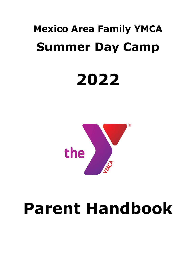# **Mexico Area Family YMCA Summer Day Camp**

# **2022**



# **Parent Handbook**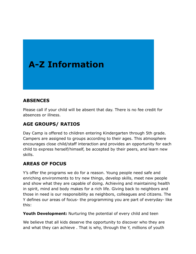# **A-Z Information**

# **ABSENCES**

Please call if your child will be absent that day. There is no fee credit for absences or illness.

# **AGE GROUPS/ RATIOS**

Day Camp is offered to children entering Kindergarten through 5th grade. Campers are assigned to groups according to their ages. This atmosphere encourages close child/staff interaction and provides an opportunity for each child to express herself/himself, be accepted by their peers, and learn new skills.

# **AREAS OF FOCUS**

Y's offer the programs we do for a reason. Young people need safe and enriching environments to try new things, develop skills, meet new people and show what they are capable of doing. Achieving and maintaining health in spirit, mind and body makes for a rich life. Giving back to neighbors and those in need is our responsibility as neighbors, colleagues and citizens. The Y defines our areas of focus- the programming you are part of everyday- like this:

**Youth Development:** Nurturing the potential of every child and teen

We believe that all kids deserve the opportunity to discover who they are and what they can achieve . That is why, through the Y, millions of youth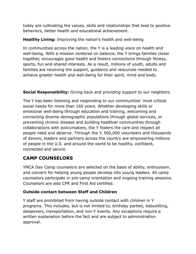today are cultivating the values, skills and relationships that lead to positive behaviors, better health and educational achievement.

#### **Healthy Living:** Improving the nation's health and well-being

In communities across the nation, the Y is a leading voice on health and well-being. With a mission centered on balance, the Y brings families closer together, encourages good health and fosters connections through fitness, sports, fun and shared interests. As a result, millions of youth, adults and families are receiving the support, guidance and resources needed to achieve greater health and well-being for their spirit, mind and body.

#### **Social Responsibility:** Giving back and providing support to our neighbors

The Y has been listening and responding to our communities' most critical social needs for more than 160 years. Whether developing skills or emotional well-being through education and training, welcoming and connecting diverse demographic populations through global services, or preventing chronic disease and building healthier communities through collaborations with policymakers, the Y fosters the care and respect all people need and deserve. Through the Y, 500,000 volunteers and thousands of donors, leaders and partners across the country are empowering millions of people in the U.S. and around the world to be healthy, confident, connected and secure.

# **CAMP COUNSELORS**

YMCA Day Camp counselors are selected on the basis of ability, enthusiasm, and concern for helping young people develop into young leaders. All camp counselors participate in pre-camp orientation and ongoing training sessions. Counselors are also CPR and First Aid certified.

#### **Outside contact between Staff and Children**

Y staff are prohibited from having outside contact with children in Y programs. This includes, but is not limited to, birthday parties, babysitting, sleepovers, transportation, and non-Y events. Any exceptions require a written explanation before the fact and are subject to administration approval.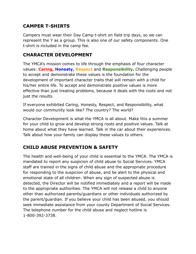# **CAMPER T-SHIRTS**

Campers must wear their Day Camp t-shirt on field trip days, so we can represent the Y as a group. This is also one of our safety components. One t-shirt is included in the camp fee.

# **CHARACTER DEVELOPMENT**

The YMCA's mission comes to life through the emphasis of four character values: **Caring, Honesty, Respect** and **Responsibility.** Challenging people to accept and demonstrate these values is the foundation for the development of important character traits that will remain with a child for his/her entire life. To accept and demonstrate positive values is more effective than just treating problems, because it deals with the roots and not just the results.

If everyone exhibited Caring, Honesty, Respect, and Responsibility, what would our community look like? The country? The world?

Character Development is what the YMCA is all about. Make this a summer for your child to grow and develop strong roots and positive values. Talk at home about what they have learned. Talk in the car about their experiences. Talk about how your family can display these values to others.

# **CHILD ABUSE PREVENTION & SAFETY**

The health and well-being of your child is essential to the YMCA. The YMCA is mandated to report any suspicion of child abuse to Social Services. YMCA staff are trained in the signs of child abuse and the appropriate procedure for responding to the suspicion of abuse, and be alert to the physical and emotional state of all children. When any sign of suspected abuse is detected, the Director will be notified immediately and a report will be made to the appropriate authorities. The YMCA will not release a child to anyone other than authorized parents/guardians or other individuals authorized by the parent/guardian. If you believe your child has been abused, you should seek immediate assistance from your county Department of Social Services. The telephone number for the child abuse and neglect hotline is 1-800-392-3738.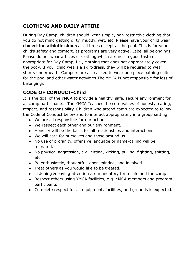# **CLOTHING AND DAILY ATTIRE**

During Day Camp, children should wear simple, non-restrictive clothing that you do not mind getting dirty, muddy, wet, etc. Please have your child wear **closed-toe athletic shoes** at all times except at the pool. This is for your child's safety and comfort, as programs are very active. Label all belongings. Please do not wear articles of clothing which are not in good taste or appropriate for Day Camp, i.e., clothing that does not appropriately cover the body. If your child wears a skirt/dress, they will be required to wear shorts underneath. Campers are also asked to wear one piece bathing suits for the pool and other water activities.The YMCA is not responsible for loss of belongings

# **CODE OF CONDUCT-Child**

It is the goal of the YMCA to provide a healthy, safe, secure environment for all camp participants. The YMCA Teaches the core values of honesty, caring, respect, and responsibility. Children who attend camp are expected to follow the Code of Conduct below and to interact appropriately in a group setting.

- We are all responsible for our actions.
- We respect each other and our environment.
- Honesty will be the basis for all relationships and interactions.
- We will care for ourselves and those around us.
- No use of profanity, offensive language or name-calling will be tolerated.
- No physical aggression, e.g. hitting, kicking, pulling, fighting, spitting, etc.
- Be enthusiastic, thoughtful, open-minded, and involved.
- Treat others as you would like to be treated.
- Listening & paying attention are mandatory for a safe and fun camp.
- Respect others using YMCA facilities, e.g. YMCA members and program participants.
- Complete respect for all equipment, facilities, and grounds is expected.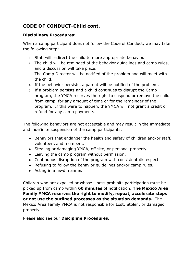# **CODE OF CONDUCT-Child cont.**

#### **Disciplinary Procedures:**

When a camp participant does not follow the Code of Conduct, we may take the following step:

- 1. Staff will redirect the child to more appropriate behavior.
- 2. The child will be reminded of the behavior guidelines and camp rules, and a discussion will take place.
- 3. The Camp Director will be notified of the problem and will meet with the child.
- 4. If the behavior persists, a parent will be notified of the problem.
- 5. If a problem persists and a child continues to disrupt the Camp program, the YMCA reserves the right to suspend or remove the child from camp, for any amount of time or for the remainder of the program. If this were to happen, the YMCA will not grant a credit or refund for any camp payments.

The following behaviors are not acceptable and may result in the immediate and indefinite suspension of the camp participants:

- Behaviors that endanger the health and safety of children and/or staff, volunteers and members.
- Stealing or damaging YMCA, off site, or personal property.
- Leaving the camp program without permission.
- Continuous disruption of the program with consistent disrespect.
- Refusing to follow the behavior quidelines and/or camp rules.
- Acting in a lewd manner.

Children who are expelled or whose illness prohibits participation must be picked up from camp within **60 minutes** of notification. **The Mexico Area Family YMCA reserves the right to modify, repeat, accelerate steps or not use the outlined processes as the situation demands.** The Mexico Area Family YMCA is not responsible for Lost, Stolen, or damaged property.

Please also see our **Discipline Procedures.**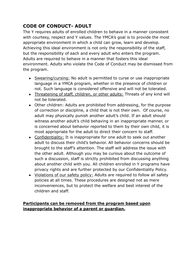# **CODE OF CONDUCT- ADULT**

The Y requires adults of enrolled children to behave in a manner consistent with courtesy, respect and Y values. The YMCA's goal is to provide the most appropriate environment in which a child can grow, learn and develop. Achieving this ideal environment is not only the responsibility of the staff, but the responsibility of each and every adult who enters the program. Adults are required to behave in a manner that fosters this ideal environment. Adults who violate the Code of Conduct may be dismissed from the program.

- Swearing/cursing: No adult is permitted to curse or use inappropriate language in a YMCA program, whether in the presence of children or not. Such language is considered offensive and will not be tolerated.
- Threatening of staff, children, or other adults: Threats of any kind will not be tolerated.
- Other children: Adults are prohibited from addressing, for the purpose of correction or discipline, a child that is not their own. Of course, no adult may physically punish another adult's child. If an adult should witness another adult's child behaving in an inappropriate manner, or is concerned about behavior reported to them by their own child, it is most appropriate for the adult to direct their concern to staff.
- Confidentiality: It is inappropriate for one adult to seek out another adult to discuss their child's behavior. All behavior concerns should be brought to the staff's attention. The staff will address the issue with the other adult. Although you may be curious about the outcome of such a discussion, staff is strictly prohibited from discussing anything about another child with you. All children enrolled in Y programs have privacy rights and are further protected by our Confidentiality Policy.
- Violations of our safety policy: Adults are required to follow all safety policies at all times. These procedures are designed not as mere inconveniences, but to protect the welfare and best interest of the children and staff.

#### **Participants can be removed from the program based upon inappropriate behavior of a parent or guardian.**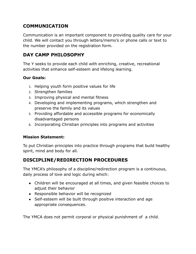# **COMMUNICATION**

Communication is an important component to providing quality care for your child. We will contact you through letters/memo's or phone calls or text to the number provided on the registration form.

# **DAY CAMP PHILOSOPHY**

The Y seeks to provide each child with enriching, creative, recreational activities that enhance self-esteem and lifelong learning.

#### **Our Goals:**

- 1. Helping youth form positive values for life
- 2. Strengthen families
- 3. Improving physical and mental fitness
- 4. Developing and implementing programs, which strengthen and preserve the family and its values
- 5. Providing affordable and accessible programs for economically disadvantaged persons
- 6. Incorporating Christian principles into programs and activities

#### **Mission Statement:**

To put Christian principles into practice through programs that build healthy spirit, mind and body for all.

# **DISCIPLINE/REDIRECTION PROCEDURES**

The YMCA's philosophy of a discipline/redirection program is a continuous, daily process of love and logic during which:

- Children will be encouraged at all times, and given feasible choices to adjust their behavior
- Responsible behavior will be recognized
- Self-esteem will be built through positive interaction and age appropriate consequences.

The YMCA does not permit corporal or physical punishment of a child.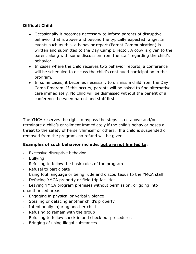#### **Difficult Child:**

- Occasionally it becomes necessary to inform parents of disruptive behavior that is above and beyond the typically expected range. In events such as this, a behavior report (Parent Communication) is written and submitted to the Day Camp Director. A copy is given to the parent along with some discussion from the staff regarding the child's behavior.
- In cases where the child receives two behavior reports, a conference will be scheduled to discuss the child's continued participation in the program.
- In some cases, it becomes necessary to dismiss a child from the Day Camp Program. If this occurs, parents will be asked to find alternative care immediately. No child will be dismissed without the benefit of a conference between parent and staff first.

The YMCA reserves the right to bypass the steps listed above and/or terminate a child's enrollment immediately if the child's behavior poses a threat to the safety of herself/himself or others. If a child is suspended or removed from the program, no refund will be given.

#### **Examples of such behavior include, but are not limited to:**

- · Excessive disruptive behavior
- · Bullying
- Refusing to follow the basic rules of the program
- · Refusal to participate
- Using foul language or being rude and discourteous to the YMCA staff
- Defacing YMCA property or field trip facilities
- · Leaving YMCA program premises without permission, or going into unauthorized areas
- · Engaging in physical or verbal violence
- Stealing or defacing another child's property
- · Intentionally injuring another child
- · Refusing to remain with the group
- · Refusing to follow check in and check out procedures
- · Bringing of using illegal substances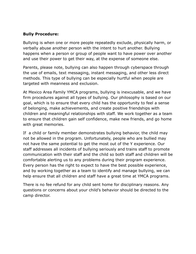#### **Bully Procedure:**

Bullying is when one or more people repeatedly exclude, physically harm, or verbally abuse another person with the intent to hurt another. Bullying happens when a person or group of people want to have power over another and use their power to get their way, at the expense of someone else.

Parents, please note, bullying can also happen through cyberspace through the use of emails, text messaging, instant messaging, and other less direct methods. This type of bullying can be especially hurtful when people are targeted with meanness and exclusion.

At Mexico Area Family YMCA programs, bullying is inexcusable, and we have firm procedures against all types of bullying. Our philosophy is based on our goal, which is to ensure that every child has the opportunity to feel a sense of belonging, make achievements, and create positive friendships with children and meaningful relationships with staff. We work together as a team to ensure that children gain self confidence, make new friends, and go home with great memories.

If a child or family member demonstrates bullying behavior, the child may not be allowed in the program. Unfortunately, people who are bullied may not have the same potential to get the most out of the Y experience. Our staff addresses all incidents of bullying seriously and trains staff to promote communication with their staff and the child so both staff and children will be comfortable alerting us to any problems during their program experience. Every person has the right to expect to have the best possible experience, and by working together as a team to identify and manage bullying, we can help ensure that all children and staff have a great time at YMCA programs.

There is no fee refund for any child sent home for disciplinary reasons. Any questions or concerns about your child's behavior should be directed to the camp director.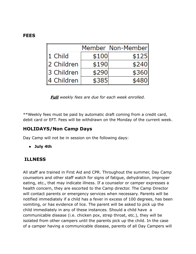#### **FEES**

|             |       | Member Non-Memberl |
|-------------|-------|--------------------|
| 1 Child     | \$100 | \$125              |
| l2 Children | \$190 | \$240              |
| 3 Children  | \$290 | \$360              |
| 4 Children  | \$385 |                    |

*Full weekly fees are due for each week enrolled.*

\*\*Weekly fees must be paid by automatic draft coming from a credit card, debit card or EFT. Fees will be withdrawn on the Monday of the current week.

#### **HOLIDAYS/Non Camp Days**

Day Camp will not be in session on the following days:

**● July 4th**

#### **ILLNESS**

All staff are trained in First Aid and CPR. Throughout the summer, Day Camp counselors and other staff watch for signs of fatigue, dehydration, improper eating, etc., that may indicate illness. If a counselor or camper expresses a health concern, they are escorted to the Camp director. The Camp Director will contact parents or emergency services when necessary. Parents will be notified immediately if a child has a fever in excess of 100 degrees, has been vomiting, or has evidence of lice. The parent will be asked to pick up the child immediately in any of these instances. Should a child have a communicable disease (i.e. chicken pox, strep throat, etc.), they will be isolated from other campers until the parents pick up the child. In the case of a camper having a communicable disease, parents of all Day Campers will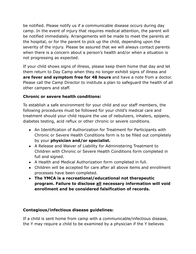be notified. Please notify us if a communicable disease occurs during day camp. In the event of injury that requires medical attention, the parent will be notified immediately. Arrangements will be made to meet the parents at the hospital, or for the parent to pick up the child, depending upon the severity of the injury. Please be assured that we will always contact parents when there is a concern about a person's health and/or when a situation is not progressing as expected.

If your child shows signs of illness, please keep them home that day and let them return to Day Camp when they no longer exhibit signs of illness and **are fever and symptom free for 48 hours** and have a note from a doctor. Please call the Camp Director to institute a plan to safeguard the health of all other campers and staff.

#### **Chronic or severe health conditions:**

To establish a safe environment for your child and our staff members, the following procedures must be followed for your child's medical care and treatment should your child require the use of nebulizers, inhalers, epipens, diabetes testing, acid reflux or other chronic or severe conditions.

- An Identification of Authorization for Treatment for Participants with Chronic or Severe Health Conditions form is to be filled out completely by your **physician and/or specialist.**
- A Release and Waiver of Liability for Administering Treatment to Children with Chronic or Severe Health Conditions form completed in full and signed.
- A Health and Medical Authorization form completed in full.
- Children will be accepted for care after all above items and enrollment processes have been completed.
- **● The YMCA is a recreational/educational not therapeutic program. Failure to disclose all necessary information will void enrollment and be considered falsification of records.**

#### **Contagious/infectious disease guidelines:**

If a child is sent home from camp with a communicable/infectious disease, the Y may require a child to be examined by a physician if the Y believes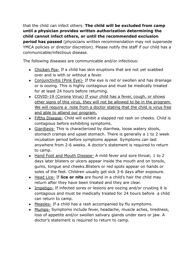that the child can infect others. **The child will be excluded from camp until a physician provides written authorization determining the child cannot infect others, or until the recommended exclusion period has passed** (physicians written recommendation may not supersede YMCA policies or director discretion). Please notify the staff if our child has a communicable/infectious disease.

The following diseases are communicable and/or infectious:

- Chicken Pox- If a child has skin eruptions that are not yet scabbed over and is with or without a fever.
- Conjunctivitis (Pink Eye)- If the eye is red or swollen and has drainage or is oozing. This is highly contagious and must be medically treated for at least 24 hours before returning.
- COVID-19 (Corona Virus) If your child has a fever, cough, or shows other signs of this virus, they will not be allowed to be in the program. We will require a note from a doctor stating that the child is virus free and able to attend our program.
- Fifths Disease- Child will exhibit a slapped red rash on cheeks. Child is contagious before exhibiting symptoms.
- Giardiasis- This is characterized by diarrhea, loose watery stools, stomach cramps and upset stomach. There is generally a 1 to 2 week incubation period before symptoms appear. Symptoms can last anywhere from 2-6 weeks. A doctor's statement is required to return to camp.
- Hand Foot and Mouth Disease- A mild fever and sore throat; 1 to 2 days later blisters or ulcers appear inside the mouth and on tonsils, gums, tongue and cheeks.Blisters or red spots appear on hands or soles of the feet. Children usually get sick 3-6 days after exposure.
- Head Lice- If **lice or nits** are found in a child's hair the child may return after they have been treated and they are clear.
- Impetigo- If infected sores or lesions are oozing and/or crusting it is contagious and must be medically treated for 24 hours before a child can return to camp.
- Measles- If a child has a rash accompanied by flu symptoms.
- Mumps- Symptoms include fever, headache, muscle aches, tiredness, loss of appetite and/or swollen salivary glands under ears or jaw. A doctor's statement is required to return to camp.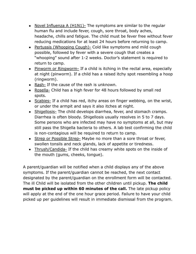- Novel Influenza A (H1N1)- The symptoms are similar to the regular human flu and include fever, cough, sore throat, body aches, headache, chills and fatigue. The child must be fever free without fever reducing medications for at least 24 hours before returning to camp.
- Pertussis (Whooping Cough) Cold like symptoms and mild cough possible, followed by fever with a severe cough that creates a "whooping" sound after 1-2 weeks. Doctor's statement is required to return to camp.
- Pinworm or Ringworm- If a child is itching in the rectal area, especially at night (pinworm). If a child has a raised itchy spot resembling a hoop (ringworm).
- Rash- If the cause of the rash is unknown.
- Rosella- Child has a high fever for 48 hours followed by small red spots.
- Scabies- If a child has red, itchy areas on finger webbing, on the wrist, or under the armpit and says it also itches at night.
- Shigellosis- The child develops diarrhea, fever, and stomach cramps. Diarrhea is often bloody. Shigellosis usually resolves in 5 to 7 days. Some persons who are infected may have no symptoms at all, but may still pass the Shigella bacteria to others. A lab test confirming the child is non-contagious will be required to return to camp.
- Strep or Possible Strep- Maybe no more than a sore throat or fever, swollen tonsils and neck glands, lack of appetite or tiredness.
- Thrush/Candida- If the child has creamy white spots on the inside of the mouth (gums, cheeks, tongue).

A parent/guardian will be notified when a child displays any of the above symptoms. If the parent/guardian cannot be reached, the next contact designated by the parent/guardian on the enrollment form will be contacted. The ill Child will be isolated from the other children until pickup. **The child must be picked up within 60 minutes of the call.** The late pickup policy will apply at the end of the one hour grace period. Failure to have your child picked up per guidelines will result in immediate dismissal from the program.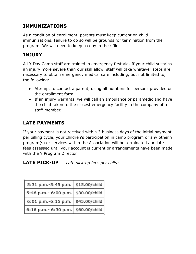# **IMMUNIZATIONS**

As a condition of enrollment, parents must keep current on child immunizations. Failure to do so will be grounds for termination from the program. We will need to keep a copy in their file.

#### **INJURY**

All Y Day Camp staff are trained in emergency first aid. If your child sustains an injury more severe than our skill allow, staff will take whatever steps are necessary to obtain emergency medical care including, but not limited to, the following:

- Attempt to contact a parent, using all numbers for persons provided on the enrollment form.
- If an injury warrants, we will call an ambulance or paramedic and have the child taken to the closest emergency facility in the company of a staff member.

# **LATE PAYMENTS**

If your payment is not received within 3 business days of the initial payment per billing cycle, your children's participation in camp program or any other Y program(s) or services within the Association will be terminated and late fees assessed until your account is current or arrangements have been made with the Y Program Director.

#### **LATE PICK-UP** *Late pick-up fees per child:*

| 5:31 p.m.-5:45 p.m.   \$15.00/child  |  |
|--------------------------------------|--|
| 5:46 p.m.- 6:00 p.m.   \$30.00/child |  |
| 6:01 p.m.-6:15 p.m.   \$45.00/child  |  |
| 6:16 p.m.- 6:30 p.m.   \$60.00/child |  |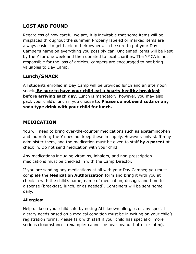# **LOST AND FOUND**

Regardless of how careful we are, it is inevitable that some items will be misplaced throughout the summer. Properly labeled or marked items are always easier to get back to their owners, so be sure to put your Day Camper's name on everything you possibly can. Unclaimed items will be kept by the Y for one week and then donated to local charities. The YMCA is not responsible for the loss of articles; campers are encouraged to not bring valuables to Day Camp.

# **Lunch/SNACK**

All students enrolled in Day Camp will be provided lunch and an afternoon snack. **Be sure to have your child eat a hearty healthy breakfast before arriving each day**. Lunch is mandatory, however, you may also pack your child's lunch if you choose to. **Please do not send soda or any soda type drink with your child for lunch.**

# **MEDICATION**

You will need to bring over-the-counter medications such as acetaminophen and ibuprofen; the Y does not keep these in supply. However, only staff may administer them, and the medication must be given to staff **by a parent** at check in. Do not send medication with your child.

Any medications including vitamins, inhalers, and non-prescription medications must be checked in with the Camp Director.

If you are sending any medications at all with your Day Camper, you must complete the **Medication Authorization** form and bring it with you at check in with the child's name, name of medication, dosage, and time to dispense (breakfast, lunch, or as needed). Containers will be sent home daily.

#### **Allergies:**

Help us keep your child safe by noting ALL known allergies or any special dietary needs based on a medical condition must be in writing on your child's registration forms. Please talk with staff if your child has special or more serious circumstances (example: cannot be near peanut butter or latex).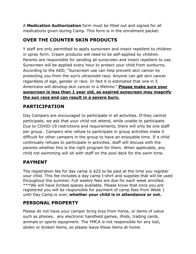A **Medication Authorization** form must be filled out and signed for all medications given during Camp. This form is in the enrollment packet.

# **OVER THE COUNTER SKIN PRODUCTS**

Y staff are only permitted to apply sunscreen and insect repellent to children in spray form. Cream products will need to be self-applied by children. Parents are responsible for sending all sunscreen and insect repellent to use. Sunscreen will be applied every hour to protect your child from sunburns. According to the ADD, "Sunscreen use can help prevent skin cancer by protecting you from the sun's ultraviolet rays. Anyone can get skin cancer regardless of age, gender or race. In fact it is estimated that one in 5 Americans will develop skin cancer in a lifetime." **Please make sure your sunscreen is less than 1 year old, as expired sunscreen may magnify the sun rays and can result in a severe burn.**

# **PARTICIPATION**

Day Campers are encouraged to participate in all activities. If they cannot participate, we ask that your child not attend, while unable to participate Due to COVID-19 restrictions and requirements, there will only be one staff per group.. Campers who refuse to participate in group activities make it difficult for other campers in the group to have an enjoyable time. If a child continually refuses to participate in activities, staff will discuss with the parents whether this is the right program for them. When applicable, any child not swimming will sit with staff on the pool deck for the swim time.

# **PAYMENT**

The registration fee for day camp is \$25 to be paid at the time you register your child. This fee includes a day camp t-shirt and supplies that will be used throughout the summer. Full weekly fees are due for each week enrolled. \*\*\*We will have limited spaces available. Please know that once you are registered you will be responsible for payment of camp fees from Week 1 until Day Camp is over, **whether your child is in attendance or not.**

# **PERSONAL PROPERTY**

Please do not have your camper bring toys from home, or items of value such as phones, any electronic handheld games, iPods, trading cards, animals or sports equipment. The YMCA is not responsible for any lost, stolen or broken items, so please leave these items at home.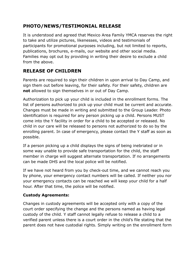# **PHOTO/NEWS/TESTIMONIAL RELEASE**

It is understood and agreed that Mexico Area Family YMCA reserves the right to take and utilize pictures, likenesses, videos and testimonials of participants for promotional purposes including, but not limited to reports, publications, brochures, e-mails, our website and other social media. Families may opt out by providing in writing their desire to exclude a child from the above.

# **RELEASE OF CHILDREN**

Parents are required to sign their children in upon arrival to Day Camp, and sign them out before leaving, for their safety. For their safety, children are **not** allowed to sign themselves in or out of Day Camp.

Authorization to pick up your child is included in the enrollment forms. The list of persons authorized to pick up your child must be current and accurate. Changes must be made in writing and submitted to the Group Leader. Photo identification is required for any person picking up a child. Persons MUST come into the Y facility in order for a child to be accepted or released. No child in our care will be released to persons not authorized to do so by the enrolling parent. In case of emergency, please contact the Y staff as soon as possible.

If a person picking up a child displays the signs of being inebriated or in some way unable to provide safe transportation for the child, the staff member in charge will suggest alternate transportation. If no arrangements can be made DHS and the local police will be notified.

If we have not heard from you by check-out time, and we cannot reach you by phone, your emergency contact numbers will be called. If neither you nor your emergency contacts can be reached we will keep your child for a half hour. After that time, the police will be notified.

#### **Custody Agreements:**

Changes in custody agreements will be accepted only with a copy of the court order specifying the change and the persons named as having legal custody of the child. Y staff cannot legally refuse to release a child to a verified parent unless there is a court order in the child's file stating that the parent does not have custodial rights. Simply writing on the enrollment form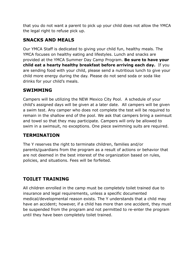that you do not want a parent to pick up your child does not allow the YMCA the legal right to refuse pick up.

# **SNACKS AND MEALS**

Our YMCA Staff is dedicated to giving your child fun, healthy meals. The YMCA focuses on healthy eating and lifestyles. Lunch and snacks are provided at the YMCA Summer Day Camp Program. **Be sure to have your child eat a hearty healthy breakfast before arriving each day.** If you are sending food with your child, please send a nutritious lunch to give your child more energy during the day. Please do not send soda or soda like drinks for your child's meals.

#### **SWIMMING**

Campers will be utilizing the NEW Mexico City Pool. A schedule of your child's assigned days will be given at a later date. All campers will be given a swim test. Any camper who does not complete the test will be required to remain in the shallow end of the pool. We ask that campers bring a swimsuit and towel so that they may participate. Campers will only be allowed to swim in a swimsuit, no exceptions. One piece swimming suits are required.

# **TERMINATION**

The Y reserves the right to terminate children, families and/or parents/guardians from the program as a result of actions or behavior that are not deemed in the best interest of the organization based on rules, policies, and situations. Fees will be forfeited.

# **TOILET TRAINING**

All children enrolled in the camp must be completely toilet trained due to insurance and legal requirements, unless a specific documented medical/developmental reason exists. The Y understands that a child may have an accident; however, if a child has more than one accident, they must be suspended from the program and not permitted to re-enter the program until they have been completely toilet trained.